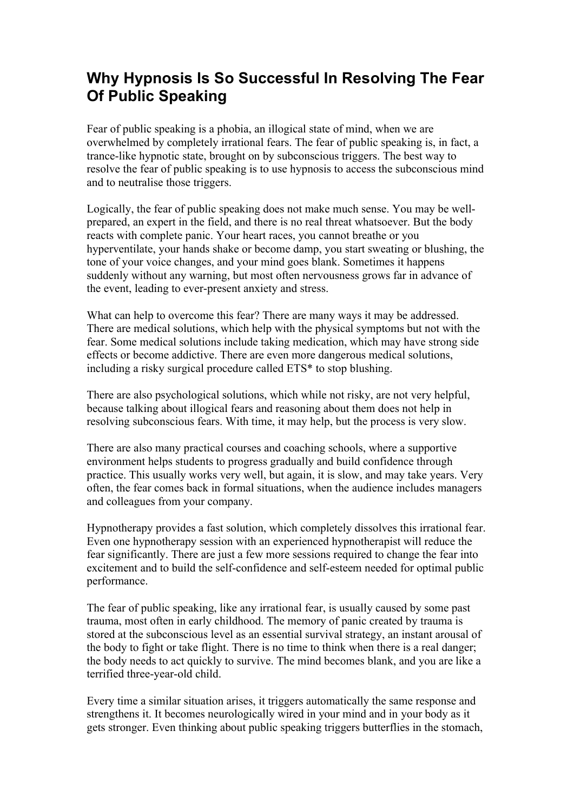## **Why Hypnosis Is So Successful In Resolving The Fear Of Public Speaking**

Fear of public speaking is a phobia, an illogical state of mind, when we are overwhelmed by completely irrational fears. The fear of public speaking is, in fact, a trance-like hypnotic state, brought on by subconscious triggers. The best way to resolve the fear of public speaking is to use hypnosis to access the subconscious mind and to neutralise those triggers.

Logically, the fear of public speaking does not make much sense. You may be wellprepared, an expert in the field, and there is no real threat whatsoever. But the body reacts with complete panic. Your heart races, you cannot breathe or you hyperventilate, your hands shake or become damp, you start sweating or blushing, the tone of your voice changes, and your mind goes blank. Sometimes it happens suddenly without any warning, but most often nervousness grows far in advance of the event, leading to ever-present anxiety and stress.

What can help to overcome this fear? There are many ways it may be addressed. There are medical solutions, which help with the physical symptoms but not with the fear. Some medical solutions include taking medication, which may have strong side effects or become addictive. There are even more dangerous medical solutions, including a risky surgical procedure called ETS\* to stop blushing.

There are also psychological solutions, which while not risky, are not very helpful, because talking about illogical fears and reasoning about them does not help in resolving subconscious fears. With time, it may help, but the process is very slow.

There are also many practical courses and coaching schools, where a supportive environment helps students to progress gradually and build confidence through practice. This usually works very well, but again, it is slow, and may take years. Very often, the fear comes back in formal situations, when the audience includes managers and colleagues from your company.

Hypnotherapy provides a fast solution, which completely dissolves this irrational fear. Even one hypnotherapy session with an experienced hypnotherapist will reduce the fear significantly. There are just a few more sessions required to change the fear into excitement and to build the self-confidence and self-esteem needed for optimal public performance.

The fear of public speaking, like any irrational fear, is usually caused by some past trauma, most often in early childhood. The memory of panic created by trauma is stored at the subconscious level as an essential survival strategy, an instant arousal of the body to fight or take flight. There is no time to think when there is a real danger; the body needs to act quickly to survive. The mind becomes blank, and you are like a terrified three-year-old child.

Every time a similar situation arises, it triggers automatically the same response and strengthens it. It becomes neurologically wired in your mind and in your body as it gets stronger. Even thinking about public speaking triggers butterflies in the stomach,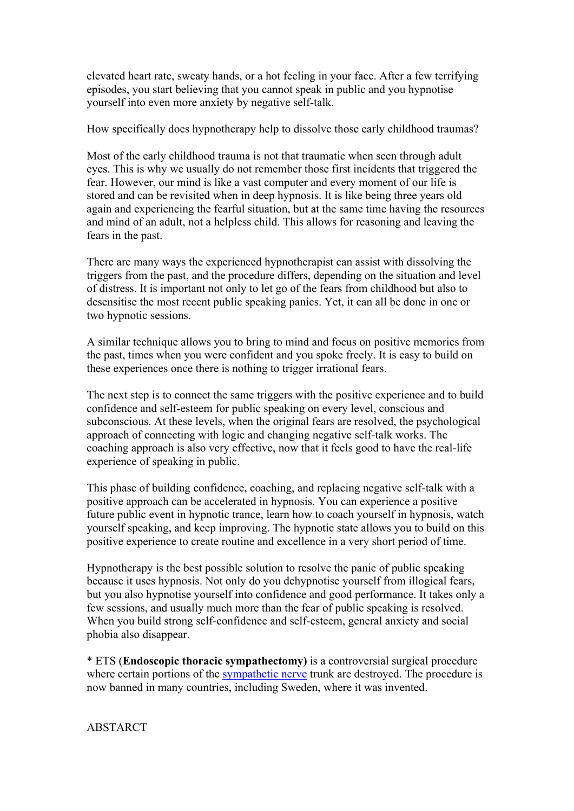elevated heart rate, sweaty hands, or a hot feeling in your face. After a few terrifying episodes, you start believing that you cannot speak in public and you hypnotise yourself into even more anxiety by negative self-talk.

How specifically does hypnotherapy help to dissolve those early childhood traumas?

Most of the early childhood trauma is not that traumatic when seen through adult eyes. This is why we usually do not remember those first incidents that triggered the fear. However, our mind is like a vast computer and every moment of our life is stored and can be revisited when in deep hypnosis. It is like being three years old again and experiencing the fearful situation, but at the same time having the resources and mind of an adult, not a helpless child. This allows for reasoning and leaving the fears in the past.

There are many ways the experienced hypnotherapist can assist with dissolving the triggers from the past, and the procedure differs, depending on the situation and level of distress. It is important not only to let go of the fears from childhood but also to desensitise the most recent public speaking panics. Yet, it can all be done in one or two hypnotic sessions.

A similar technique allows you to bring to mind and focus on positive memories from the past, times when you were confident and you spoke freely. It is easy to build on these experiences once there is nothing to trigger irrational fears.

The next step is to connect the same triggers with the positive experience and to build confidence and self-esteem for public speaking on every level, conscious and subconscious. At these levels, when the original fears are resolved, the psychological approach of connecting with logic and changing negative self-talk works. The coaching approach is also very effective, now that it feels good to have the real-life experience of speaking in public.

This phase of building confidence, coaching, and replacing negative self-talk with a positive approach can be accelerated in hypnosis. You can experience a positive future public event in hypnotic trance, learn how to coach yourself in hypnosis, watch yourself speaking, and keep improving. The hypnotic state allows you to build on this positive experience to create routine and excellence in a very short period of time.

Hypnotherapy is the best possible solution to resolve the panic of public speaking because it uses hypnosis. Not only do you dehypnotise yourself from illogical fears, but you also hypnotise yourself into confidence and good performance. It takes only a few sessions, and usually much more than the fear of public speaking is resolved. When you build strong self-confidence and self-esteem, general anxiety and social phobia also disappear.

\* ETS (**Endoscopic thoracic sympathectomy)** is a controversial surgical procedure where certain portions of the sympathetic nerve trunk are destroyed. The procedure is now banned in many countries, including Sweden, where it was invented.

**ABSTARCT**